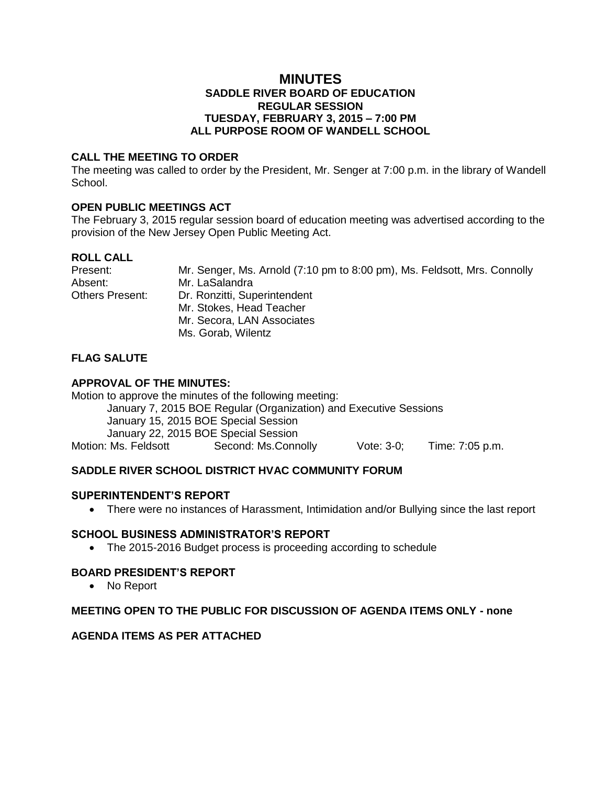## **MINUTES SADDLE RIVER BOARD OF EDUCATION REGULAR SESSION TUESDAY, FEBRUARY 3, 2015 – 7:00 PM ALL PURPOSE ROOM OF WANDELL SCHOOL**

#### **CALL THE MEETING TO ORDER**

The meeting was called to order by the President, Mr. Senger at 7:00 p.m. in the library of Wandell School.

## **OPEN PUBLIC MEETINGS ACT**

The February 3, 2015 regular session board of education meeting was advertised according to the provision of the New Jersey Open Public Meeting Act.

## **ROLL CALL**

| Present:        | Mr. Senger, Ms. Arnold (7:10 pm to 8:00 pm), Ms. Feldsott, Mrs. Connolly |
|-----------------|--------------------------------------------------------------------------|
| Absent:         | Mr. LaSalandra                                                           |
| Others Present: | Dr. Ronzitti, Superintendent                                             |
|                 | Mr. Stokes, Head Teacher                                                 |
|                 | Mr. Secora, LAN Associates                                               |
|                 | Ms. Gorab, Wilentz                                                       |

## **FLAG SALUTE**

## **APPROVAL OF THE MINUTES:**

Motion to approve the minutes of the following meeting: January 7, 2015 BOE Regular (Organization) and Executive Sessions January 15, 2015 BOE Special Session January 22, 2015 BOE Special Session Motion: Ms. Feldsott Second: Ms.Connolly Vote: 3-0; Time: 7:05 p.m.

## **SADDLE RIVER SCHOOL DISTRICT HVAC COMMUNITY FORUM**

#### **SUPERINTENDENT'S REPORT**

There were no instances of Harassment, Intimidation and/or Bullying since the last report

#### **SCHOOL BUSINESS ADMINISTRATOR'S REPORT**

• The 2015-2016 Budget process is proceeding according to schedule

## **BOARD PRESIDENT'S REPORT**

No Report

## **MEETING OPEN TO THE PUBLIC FOR DISCUSSION OF AGENDA ITEMS ONLY - none**

## **AGENDA ITEMS AS PER ATTACHED**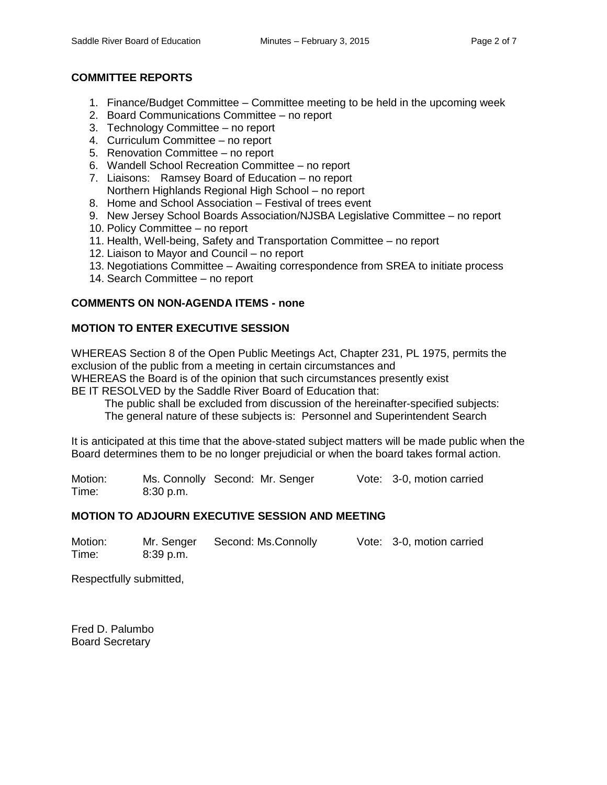## **COMMITTEE REPORTS**

- 1. Finance/Budget Committee Committee meeting to be held in the upcoming week
- 2. Board Communications Committee no report
- 3. Technology Committee no report
- 4. Curriculum Committee no report
- 5. Renovation Committee no report
- 6. Wandell School Recreation Committee no report
- 7. Liaisons: Ramsey Board of Education no report Northern Highlands Regional High School – no report
- 8. Home and School Association Festival of trees event
- 9. New Jersey School Boards Association/NJSBA Legislative Committee no report
- 10. Policy Committee no report
- 11. Health, Well-being, Safety and Transportation Committee no report
- 12. Liaison to Mayor and Council no report
- 13. Negotiations Committee Awaiting correspondence from SREA to initiate process
- 14. Search Committee no report

# **COMMENTS ON NON-AGENDA ITEMS - none**

## **MOTION TO ENTER EXECUTIVE SESSION**

WHEREAS Section 8 of the Open Public Meetings Act, Chapter 231, PL 1975, permits the exclusion of the public from a meeting in certain circumstances and WHEREAS the Board is of the opinion that such circumstances presently exist BE IT RESOLVED by the Saddle River Board of Education that:

The public shall be excluded from discussion of the hereinafter-specified subjects:

The general nature of these subjects is: Personnel and Superintendent Search

It is anticipated at this time that the above-stated subject matters will be made public when the Board determines them to be no longer prejudicial or when the board takes formal action.

Motion: Ms. Connolly Second: Mr. Senger Vote: 3-0, motion carried Time: 8:30 p.m.

## **MOTION TO ADJOURN EXECUTIVE SESSION AND MEETING**

Motion: Mr. Senger Second: Ms.Connolly Vote: 3-0, motion carried<br>Time: 8:39 p.m. 8:39 p.m.

Respectfully submitted,

Fred D. Palumbo Board Secretary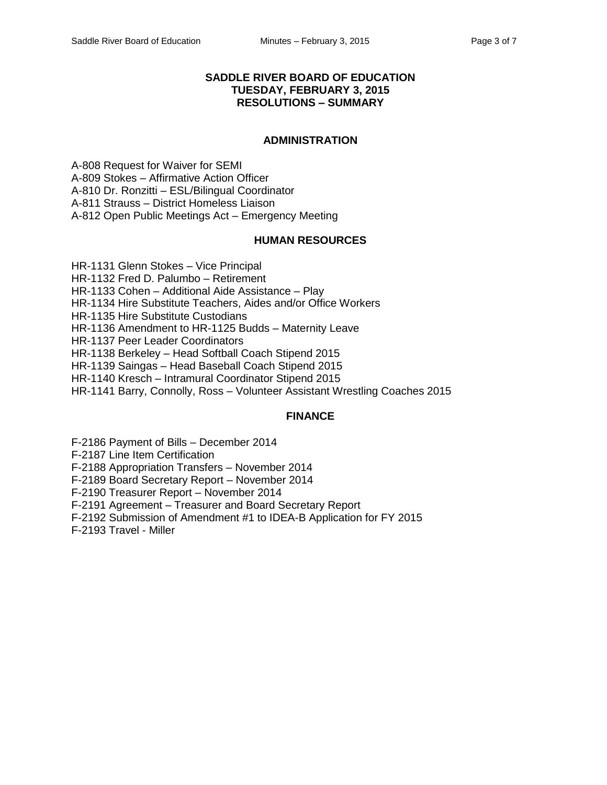## **SADDLE RIVER BOARD OF EDUCATION TUESDAY, FEBRUARY 3, 2015 RESOLUTIONS – SUMMARY**

### **ADMINISTRATION**

A-808 Request for Waiver for SEMI A-809 Stokes – Affirmative Action Officer A-810 Dr. Ronzitti – ESL/Bilingual Coordinator A-811 Strauss – District Homeless Liaison A-812 Open Public Meetings Act – Emergency Meeting

### **HUMAN RESOURCES**

HR-1131 Glenn Stokes – Vice Principal

HR-1132 Fred D. Palumbo – Retirement

HR-1133 Cohen – Additional Aide Assistance – Play

HR-1134 Hire Substitute Teachers, Aides and/or Office Workers

HR-1135 Hire Substitute Custodians

HR-1136 Amendment to HR-1125 Budds – Maternity Leave

HR-1137 Peer Leader Coordinators

HR-1138 Berkeley – Head Softball Coach Stipend 2015

HR-1139 Saingas – Head Baseball Coach Stipend 2015

HR-1140 Kresch – Intramural Coordinator Stipend 2015

HR-1141 Barry, Connolly, Ross – Volunteer Assistant Wrestling Coaches 2015

## **FINANCE**

F-2186 Payment of Bills – December 2014

F-2187 Line Item Certification

F-2188 Appropriation Transfers – November 2014

F-2189 Board Secretary Report – November 2014

F-2190 Treasurer Report – November 2014

F-2191 Agreement – Treasurer and Board Secretary Report

F-2192 Submission of Amendment #1 to IDEA-B Application for FY 2015

F-2193 Travel - Miller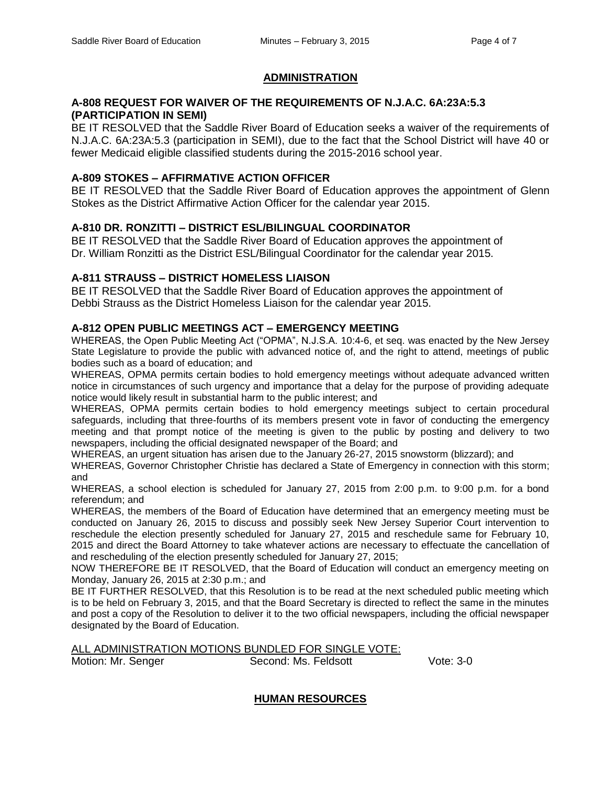#### **ADMINISTRATION**

#### **A-808 REQUEST FOR WAIVER OF THE REQUIREMENTS OF N.J.A.C. 6A:23A:5.3 (PARTICIPATION IN SEMI)**

BE IT RESOLVED that the Saddle River Board of Education seeks a waiver of the requirements of N.J.A.C. 6A:23A:5.3 (participation in SEMI), due to the fact that the School District will have 40 or fewer Medicaid eligible classified students during the 2015-2016 school year.

## **A-809 STOKES – AFFIRMATIVE ACTION OFFICER**

BE IT RESOLVED that the Saddle River Board of Education approves the appointment of Glenn Stokes as the District Affirmative Action Officer for the calendar year 2015.

### **A-810 DR. RONZITTI – DISTRICT ESL/BILINGUAL COORDINATOR**

BE IT RESOLVED that the Saddle River Board of Education approves the appointment of Dr. William Ronzitti as the District ESL/Bilingual Coordinator for the calendar year 2015.

### **A-811 STRAUSS – DISTRICT HOMELESS LIAISON**

BE IT RESOLVED that the Saddle River Board of Education approves the appointment of Debbi Strauss as the District Homeless Liaison for the calendar year 2015.

### **A-812 OPEN PUBLIC MEETINGS ACT – EMERGENCY MEETING**

WHEREAS, the Open Public Meeting Act ("OPMA", N.J.S.A. 10:4-6, et seq. was enacted by the New Jersey State Legislature to provide the public with advanced notice of, and the right to attend, meetings of public bodies such as a board of education; and

WHEREAS, OPMA permits certain bodies to hold emergency meetings without adequate advanced written notice in circumstances of such urgency and importance that a delay for the purpose of providing adequate notice would likely result in substantial harm to the public interest; and

WHEREAS, OPMA permits certain bodies to hold emergency meetings subject to certain procedural safeguards, including that three-fourths of its members present vote in favor of conducting the emergency meeting and that prompt notice of the meeting is given to the public by posting and delivery to two newspapers, including the official designated newspaper of the Board; and

WHEREAS, an urgent situation has arisen due to the January 26-27, 2015 snowstorm (blizzard); and

WHEREAS, Governor Christopher Christie has declared a State of Emergency in connection with this storm; and

WHEREAS, a school election is scheduled for January 27, 2015 from 2:00 p.m. to 9:00 p.m. for a bond referendum; and

WHEREAS, the members of the Board of Education have determined that an emergency meeting must be conducted on January 26, 2015 to discuss and possibly seek New Jersey Superior Court intervention to reschedule the election presently scheduled for January 27, 2015 and reschedule same for February 10, 2015 and direct the Board Attorney to take whatever actions are necessary to effectuate the cancellation of and rescheduling of the election presently scheduled for January 27, 2015;

NOW THEREFORE BE IT RESOLVED, that the Board of Education will conduct an emergency meeting on Monday, January 26, 2015 at 2:30 p.m.; and

BE IT FURTHER RESOLVED, that this Resolution is to be read at the next scheduled public meeting which is to be held on February 3, 2015, and that the Board Secretary is directed to reflect the same in the minutes and post a copy of the Resolution to deliver it to the two official newspapers, including the official newspaper designated by the Board of Education.

#### ALL ADMINISTRATION MOTIONS BUNDLED FOR SINGLE VOTE:

Motion: Mr. Senger Second: Ms. Feldsott Vote: 3-0

#### **HUMAN RESOURCES**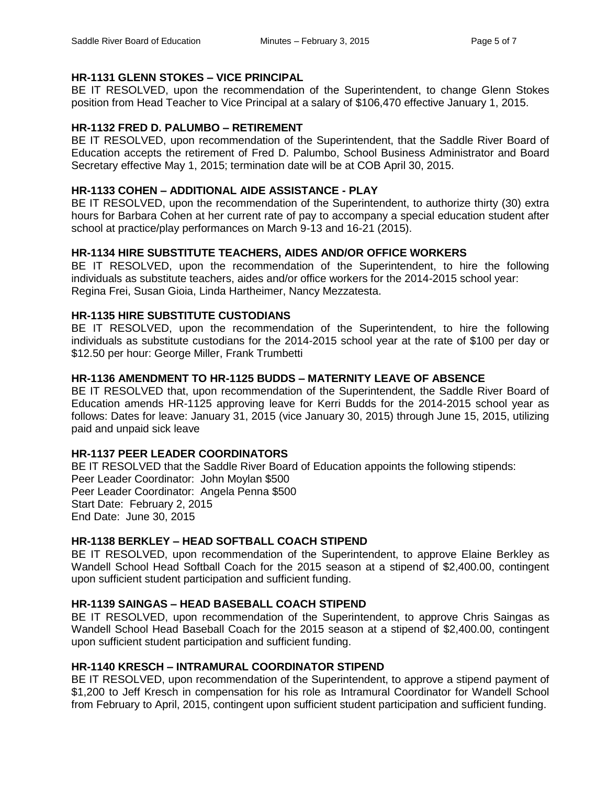# **HR-1131 GLENN STOKES – VICE PRINCIPAL**

BE IT RESOLVED, upon the recommendation of the Superintendent, to change Glenn Stokes position from Head Teacher to Vice Principal at a salary of \$106,470 effective January 1, 2015.

# **HR-1132 FRED D. PALUMBO – RETIREMENT**

BE IT RESOLVED, upon recommendation of the Superintendent, that the Saddle River Board of Education accepts the retirement of Fred D. Palumbo, School Business Administrator and Board Secretary effective May 1, 2015; termination date will be at COB April 30, 2015.

# **HR-1133 COHEN – ADDITIONAL AIDE ASSISTANCE - PLAY**

BE IT RESOLVED, upon the recommendation of the Superintendent, to authorize thirty (30) extra hours for Barbara Cohen at her current rate of pay to accompany a special education student after school at practice/play performances on March 9-13 and 16-21 (2015).

# **HR-1134 HIRE SUBSTITUTE TEACHERS, AIDES AND/OR OFFICE WORKERS**

BE IT RESOLVED, upon the recommendation of the Superintendent, to hire the following individuals as substitute teachers, aides and/or office workers for the 2014-2015 school year: Regina Frei, Susan Gioia, Linda Hartheimer, Nancy Mezzatesta.

# **HR-1135 HIRE SUBSTITUTE CUSTODIANS**

BE IT RESOLVED, upon the recommendation of the Superintendent, to hire the following individuals as substitute custodians for the 2014-2015 school year at the rate of \$100 per day or \$12.50 per hour: George Miller, Frank Trumbetti

# **HR-1136 AMENDMENT TO HR-1125 BUDDS – MATERNITY LEAVE OF ABSENCE**

BE IT RESOLVED that, upon recommendation of the Superintendent, the Saddle River Board of Education amends HR-1125 approving leave for Kerri Budds for the 2014-2015 school year as follows: Dates for leave: January 31, 2015 (vice January 30, 2015) through June 15, 2015, utilizing paid and unpaid sick leave

# **HR-1137 PEER LEADER COORDINATORS**

BE IT RESOLVED that the Saddle River Board of Education appoints the following stipends: Peer Leader Coordinator: John Moylan \$500 Peer Leader Coordinator: Angela Penna \$500 Start Date: February 2, 2015 End Date: June 30, 2015

# **HR-1138 BERKLEY – HEAD SOFTBALL COACH STIPEND**

BE IT RESOLVED, upon recommendation of the Superintendent, to approve Elaine Berkley as Wandell School Head Softball Coach for the 2015 season at a stipend of \$2,400.00, contingent upon sufficient student participation and sufficient funding.

## **HR-1139 SAINGAS – HEAD BASEBALL COACH STIPEND**

BE IT RESOLVED, upon recommendation of the Superintendent, to approve Chris Saingas as Wandell School Head Baseball Coach for the 2015 season at a stipend of \$2,400.00, contingent upon sufficient student participation and sufficient funding.

# **HR-1140 KRESCH – INTRAMURAL COORDINATOR STIPEND**

BE IT RESOLVED, upon recommendation of the Superintendent, to approve a stipend payment of \$1,200 to Jeff Kresch in compensation for his role as Intramural Coordinator for Wandell School from February to April, 2015, contingent upon sufficient student participation and sufficient funding.